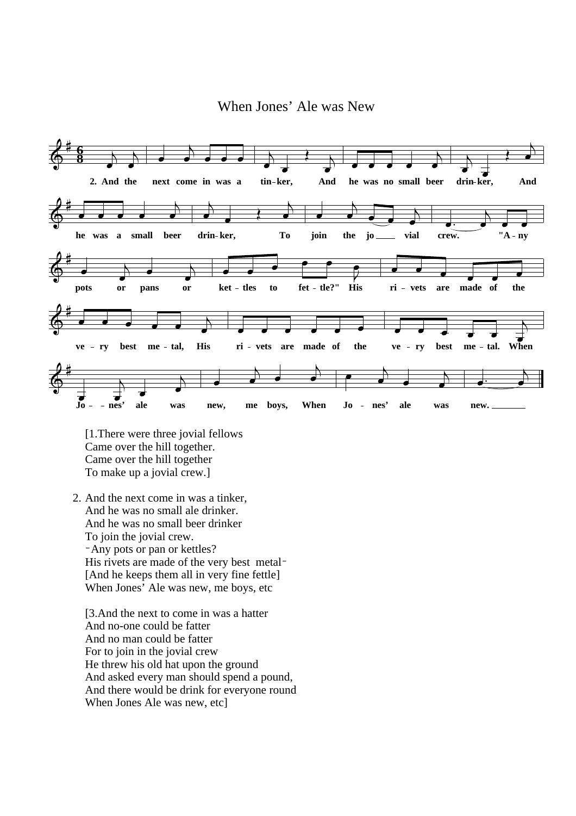

## When Jones' Ale was New

[1.There were three jovial fellows Came over the hill together. Came over the hill together To make up a jovial crew.]

2. And the next come in was a tinker, And he was no small ale drinker. And he was no small beer drinker To join the jovial crew. Any pots or pan or kettles? His rivets are made of the very best metal-[And he keeps them all in very fine fettle] When Jones' Ale was new, me boys, etc

[3.And the next to come in was a hatter And no-one could be fatter And no man could be fatter For to join in the jovial crew He threw his old hat upon the ground And asked every man should spend a pound, And there would be drink for everyone round When Jones Ale was new, etc]